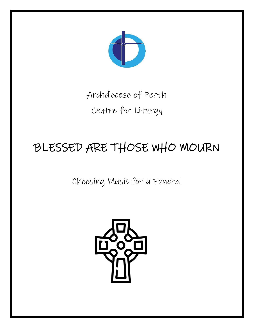

## Archdiocese of Perth Centre for Liturgy

# BLESSED ARE THOSE WHO MOURN

Choosing Music for a Funeral

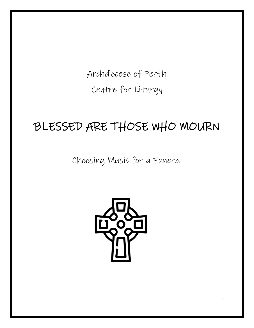Archdiocese of Perth Centre for Liturgy

## BLESSED ARE THOSE WHO MOURN

Choosing Music for a Funeral

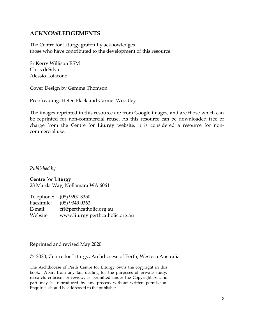#### **ACKNOWLEDGEMENTS**

The Centre for Liturgy gratefully acknowledges those who have contributed to the development of this resource.

Sr Kerry Willison RSM Chris deSilva Alessio Loiacono

Cover Design by Gemma Thomson

Proofreading: Helen Flack and Carmel Woodley

The images reprinted in this resource are from Google images, and are those which can be reprinted for non-commercial reuse. As this resource can be downloaded free of charge from the Centre for Liturgy website, it is considered a resource for noncommercial use.

*Published by*

#### **Centre for Liturgy**

28 Marda Way, Nollamara WA 6061

|            | Telephone: (08) 9207 3350        |
|------------|----------------------------------|
| Facsimile: | $(08)$ 9349 0362                 |
| E-mail:    | cfl@perthcatholic.org.au         |
| Website:   | www.liturgy.perthcatholic.org.au |

Reprinted and revised May 2020

© 2020, Centre for Liturgy**,** Archdiocese of Perth, Western Australia

The Archdiocese of Perth Centre for Liturgy owns the copyright in this book. Apart from any fair dealing for the purposes of private study, research, criticism or review, as permitted under the Copyright Act, no part may be reproduced by any process without written permission. Enquiries should be addressed to the publisher.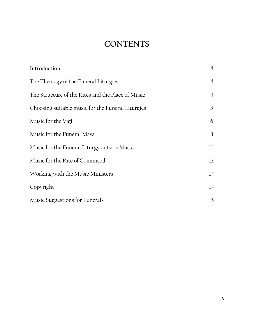## **CONTENTS**

| Introduction                                      | $\overline{4}$ |
|---------------------------------------------------|----------------|
| The Theology of the Funeral Liturgies             | $\overline{4}$ |
| The Structure of the Rites and the Place of Music | $\overline{4}$ |
| Choosing suitable music for the Funeral Liturgies | 5              |
| Music for the Vigil                               | 6              |
| Music for the Funeral Mass                        | 8              |
| Music for the Funeral Liturgy outside Mass        | 11             |
| Music for the Rite of Committal                   | 13             |
| Working with the Music Ministers                  | 14             |
| Copyright                                         | 14             |
| Music Suggestions for Funerals                    | 15             |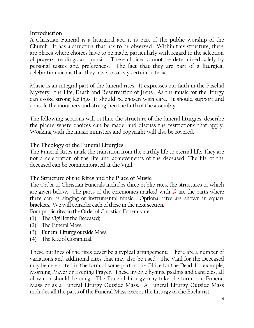#### **Introduction**

A Christian Funeral is a liturgical act; it is part of the public worship of the Church. It has a structure that has to be observed. Within this structure, there are places where choices have to be made, particularly with regard to the selection of prayers, readings and music. These choices cannot be determined solely by personal tastes and preferences. The fact that they are part of a liturgical celebration means that they have to satisfy certain criteria.

Music is an integral part of the funeral rites. It expresses our faith in the Paschal Mystery: the Life, Death and Resurrection of Jesus. As the music for the liturgy can evoke strong feelings, it should be chosen with care. It should support and console the mourners and strengthen the faith of the assembly.

The following sections will outline the structure of the funeral liturgies, describe the places where choices can be made, and discuss the restrictions that apply. Working with the music ministers and copyright will also be covered.

#### **The Theology of the Funeral Liturgies**

The Funeral Rites mark the transition from the earthly life to eternal life. They are not a celebration of the life and achievements of the deceased. The life of the deceased can be commemorated at the Vigil.

#### **The Structure of the Rites and the Place of Music**

The Order of Christian Funerals includes three public rites, the structures of which are given below. The parts of the ceremonies marked with ♫ are the parts where there can be singing or instrumental music. Optional rites are shown in square brackets. We will consider each of these in the next section.

Four public rites in the Order of Christian Funerals are:

- (1) The Vigil for the Deceased;
- (2) The Funeral Mass;
- (3) Funeral Liturgy outside Mass;
- (4) The Rite of Committal.

These outlines of the rites describe a typical arrangement. There are a number of variations and additional rites that may also be used. The Vigil for the Deceased may be celebrated in the form of some part of the Office for the Dead, for example, Morning Prayer or Evening Prayer. These involve hymns, psalms and canticles, all of which should be sung. The Funeral Liturgy may take the form of a Funeral Mass or as a Funeral Liturgy Outside Mass. A Funeral Liturgy Outside Mass includes all the parts of the Funeral Mass except the Liturgy of the Eucharist.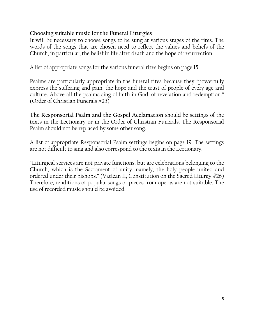#### **Choosing suitable music for the Funeral Liturgies**

It will be necessary to choose songs to be sung at various stages of the rites. The words of the songs that are chosen need to reflect the values and beliefs of the Church, in particular, the belief in life after death and the hope of resurrection.

A list of appropriate songs for the various funeral rites begins on page 15.

Psalms are particularly appropriate in the funeral rites because they "powerfully express the suffering and pain, the hope and the trust of people of every age and culture. Above all the psalms sing of faith in God, of revelation and redemption." (Order of Christian Funerals #25)

**The Responsorial Psalm and the Gospel Acclamation** should be settings of the texts in the Lectionary or in the Order of Christian Funerals. The Responsorial Psalm should not be replaced by some other song.

A list of appropriate Responsorial Psalm settings begins on page 19. The settings are not difficult to sing and also correspond to the texts in the Lectionary.

"Liturgical services are not private functions, but are celebrations belonging to the Church, which is the Sacrament of unity, namely, the holy people united and ordered under their bishops." (Vatican II, Constitution on the Sacred Liturgy #26) Therefore, renditions of popular songs or pieces from operas are not suitable. The use of recorded music should be avoided.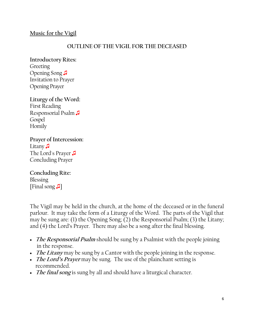#### **Music for the Vigil**

#### **OUTLINE OF THE VIGIL FOR THE DECEASED**

**Introductory Rites:** Greeting Opening Song ♫ Invitation to Prayer Opening Prayer

**Liturgy of the Word:** First Reading Responsorial Psalm ♫ Gospel Homily

**Prayer of Intercession:** Litany <del>∫</del> The Lord's Prayer ♫ Concluding Prayer

**Concluding Rite:** Blessing [Final song ♫]

The Vigil may be held in the church, at the home of the deceased or in the funeral parlour. It may take the form of a Liturgy of the Word. The parts of the Vigil that may be sung are: (1) the Opening Song; (2) the Responsorial Psalm; (3) the Litany; and (4) the Lord's Prayer. There may also be a song after the final blessing.

- **The Responsorial Psalm** should be sung by a Psalmist with the people joining in the response.
- *The Litany* may be sung by a Cantor with the people joining in the response.
- **The Lord's Prayer** may be sung. The use of the plainchant setting is recommended.
- **The final song** is sung by all and should have a liturgical character.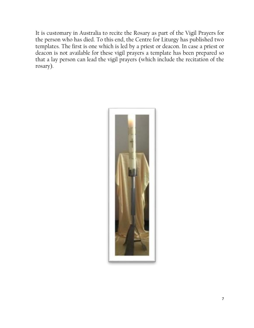It is customary in Australia to recite the Rosary as part of the Vigil Prayers for the person who has died. To this end, the Centre for Liturgy has published two templates. The first is one which is led by a priest or deacon. In case a priest or deacon is not available for these vigil prayers a template has been prepared so that a lay person can lead the vigil prayers (which include the recitation of the rosary).

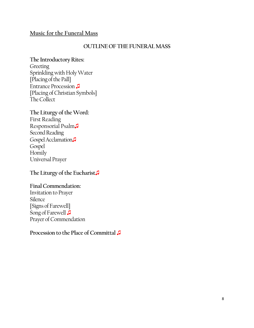#### **Music for the Funeral Mass**

#### **OUTLINE OF THE FUNERAL MASS**

#### **The Introductory Rites:**

**Greeting** Sprinkling with Holy Water [Placing of the Pall] Entrance Procession ♫ [Placing of Christian Symbols] The Collect

#### **The Liturgy of the Word:** First Reading

Responsorial Psalm♫ Second Reading Gospel Acclamation. Gospel Homily Universal Prayer

#### **The Liturgy of the Eucharist**♫

#### **Final Commendation:**

Invitation to Prayer Silence [Signs of Farewell] Song of Farewell **<del>Ⅰ</del>** Prayer of Commendation

#### **Procession to the Place of Committal** ♫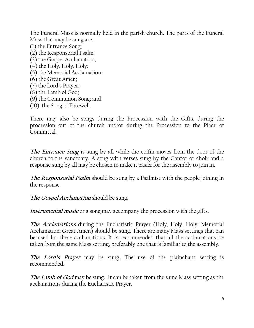The Funeral Mass is normally held in the parish church. The parts of the Funeral Mass that may be sung are:

- (1) the Entrance Song; (2) the Responsorial Psalm;
- (3) the Gospel Acclamation;
- (4) the Holy, Holy, Holy;
- (5) the Memorial Acclamation;
- (6) the Great Amen;
- (7) the Lord's Prayer;
- (8) the Lamb of God;
- (9) the Communion Song; and
- (10) the Song of Farewell.

There may also be songs during the Procession with the Gifts, during the procession out of the church and/or during the Procession to the Place of Committal.

**The Entrance Song** is sung by all while the coffin moves from the door of the church to the sanctuary. A song with verses sung by the Cantor or choir and a response sung by all may be chosen to make it easier for the assembly to join in.

**The Responsorial Psalm** should be sung by a Psalmist with the people joining in the response.

**The Gospel Acclamation** should be sung.

**Instrumental music** or a song may accompany the procession with the gifts.

**The Acclamations** during the Eucharistic Prayer (Holy, Holy, Holy; Memorial Acclamation; Great Amen) should be sung. There are many Mass settings that can be used for these acclamations. It is recommended that all the acclamations be taken from the same Mass setting, preferably one that is familiar to the assembly.

**The Lord's Prayer** may be sung. The use of the plainchant setting is recommended.

**The Lamb of God** may be sung. It can be taken from the same Mass setting as the acclamations during the Eucharistic Prayer.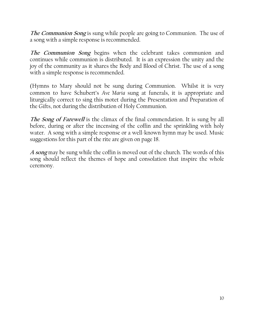**The Communion Song** is sung while people are going to Communion. The use of a song with a simple response is recommended.

**The Communion Song** begins when the celebrant takes communion and continues while communion is distributed. It is an expression the unity and the joy of the community as it shares the Body and Blood of Christ. The use of a song with a simple response is recommended.

(Hymns to Mary should not be sung during Communion. Whilst it is very common to have Schubert's *Ave Maria* sung at funerals, it is appropriate and liturgically correct to sing this motet during the Presentation and Preparation of the Gifts, not during the distribution of Holy Communion.

**The Song of Farewell** is the climax of the final commendation. It is sung by all before, during or after the incensing of the coffin and the sprinkling with holy water. A song with a simple response or a well-known hymn may be used. Music suggestions for this part of the rite are given on page 18.

**A song** may be sung while the coffin is moved out of the church. The words of this song should reflect the themes of hope and consolation that inspire the whole ceremony.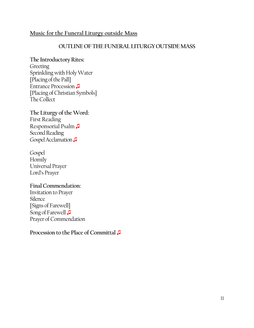#### **Music for the Funeral Liturgy outside Mass**

#### **OUTLINE OF THE FUNERALLITURGY OUTSIDE MASS**

## **The Introductory Rites:**

**Greeting** Sprinkling with Holy Water [Placing of the Pall] Entrance Procession ♫ [Placing of Christian Symbols] The Collect

#### **The Liturgy of the Word:** First Reading Responsorial Psalm ♫ Second Reading Gospel Acclamation

#### Gospel Homily Universal Prayer Lord's Prayer

#### **Final Commendation:**

Invitation to Prayer Silence [Signs of Farewell] Song of Farewell **<del>Ⅰ</del>** Prayer of Commendation

#### **Procession to the Place of Committal** ♫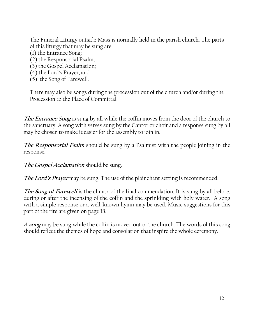The Funeral Liturgy outside Mass is normally held in the parish church. The parts of this liturgy that may be sung are:

(1) the Entrance Song;

(2) the Responsorial Psalm;

(3) the Gospel Acclamation;

(4) the Lord's Prayer; and

(5) the Song of Farewell.

There may also be songs during the procession out of the church and/or during the Procession to the Place of Committal.

**The Entrance Song** is sung by all while the coffin moves from the door of the church to the sanctuary. A song with verses sung by the Cantor or choir and a response sung by all may be chosen to make it easier for the assembly to join in.

**The Responsorial Psalm** should be sung by a Psalmist with the people joining in the response.

**The Gospel Acclamation** should be sung.

**The Lord's Prayer** may be sung. The use of the plainchant setting is recommended.

**The Song of Farewell** is the climax of the final commendation. It is sung by all before, during or after the incensing of the coffin and the sprinkling with holy water. A song with a simple response or a well-known hymn may be used. Music suggestions for this part of the rite are given on page 18.

**A song** may be sung while the coffin is moved out of the church. The words of this song should reflect the themes of hope and consolation that inspire the whole ceremony.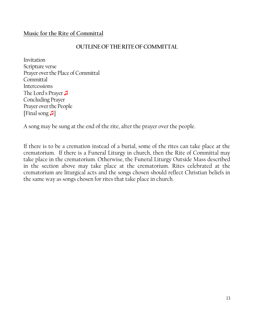#### **Music for the Rite of Committal**

#### **OUTLINE OF THE RITEOF COMMITTAL**

Invitation Scripture verse Prayer over the Place of Committal Committal **Intercessions** The Lord's Prayer ♫ Concluding Prayer Prayer over the People [Final song ♫]

A song may be sung at the end of the rite, after the prayer over the people.

If there is to be a cremation instead of a burial, some of the rites can take place at the crematorium. If there is a Funeral Liturgy in church, then the Rite of Committal may take place in the crematorium. Otherwise, the Funeral Liturgy Outside Mass described in the section above may take place at the crematorium. Rites celebrated at the crematorium are liturgical acts and the songs chosen should reflect Christian beliefs in the same way as songs chosen for rites that take place in church.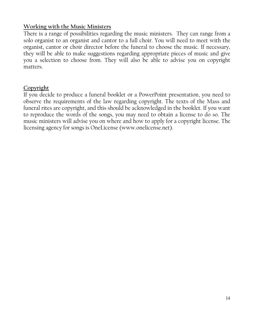#### **Working with the Music Ministers**

There is a range of possibilities regarding the music ministers. They can range from a solo organist to an organist and cantor to a full choir. You will need to meet with the organist, cantor or choir director before the funeral to choose the music. If necessary, they will be able to make suggestions regarding appropriate pieces of music and give you a selection to choose from. They will also be able to advise you on copyright matters.

#### **Copyright**

If you decide to produce a funeral booklet or a PowerPoint presentation, you need to observe the requirements of the law regarding copyright. The texts of the Mass and funeral rites are copyright, and this should be acknowledged in the booklet. If you want to reproduce the words of the songs, you may need to obtain a license to do so. The music ministers will advise you on where and how to apply for a copyright license. The licensing agency for songs is OneLicense (www.onelicense.net).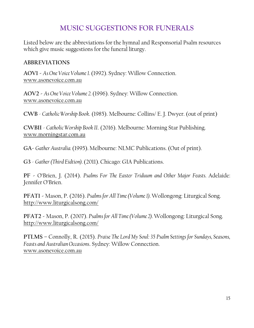### **MUSIC SUGGESTIONS FOR FUNERALS**

Listed below are the abbreviations for the hymnal and Responsorial Psalm resources which give music suggestions for the funeral liturgy.

#### **ABBREVIATIONS**

**AOV1 -** *As One Voice Volume 1.* (1992). Sydney: Willow Connection. [www.asonevoice.com.au](http://www.asonevoice.com.au/)

**AOV2 -** *As One Voice Volume 2.* (1996). Sydney: Willow Connection. [www.asonevoice.com.au](http://www.asonevoice.com.au/)

**CWB** - *Catholic Worship Book*. (1985). Melbourne: Collins/ E. J. Dwyer. (out of print)

**CWBII** - *Catholic Worship Book II*. (2016). Melbourne: Morning Star Publishing. [www.morningstar.com.au](http://www.morningstar.com.au/)

**GA-** *Gather Australia.* (1995). Melbourne: NLMC Publications. (Out of print).

**G3** - *Gather (Third Eidtion).*(2011).Chicago: GIA Publications.

**PF -** O'Brien, J. (2014). *Psalms For The Easter Triduum and Other Major Feasts.* Adelaide: Jennifer O'Brien.

**PFAT1 -** Mason, P. (2016). *Psalms for All Time (Volume 1).* Wollongong: Liturgical Song. <http://www.liturgicalsong.com/>

**PFAT2 -** Mason, P. (2007). *Psalms for All Time (Volume 2).*Wollongong: Liturgical Song. <http://www.liturgicalsong.com/>

**PTLMS –** Connolly, R. (2015). *Praise The Lord My Soul: 35 Psalm Settings for Sundays, Seasons, Feasts and Australian Occasions*. Sydney: Willow Connection. [www.asonevoice.com.au](http://www.asonevoice.com.au/)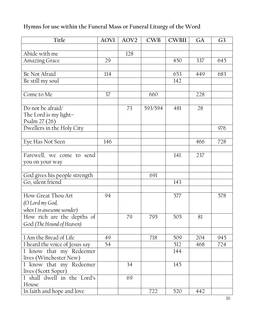### **Hymns for use within the Funeral Mass or Funeral Liturgy of the Word**

| Title                                       | <b>AOVI</b> | AOV <sub>2</sub> | CWB     | <b>CWBII</b> | GA  | G <sub>3</sub> |
|---------------------------------------------|-------------|------------------|---------|--------------|-----|----------------|
|                                             |             |                  |         |              |     |                |
| Abide with me                               |             | 128              |         |              |     |                |
| <b>Amazing Grace</b>                        | 29          |                  |         | 450          | 337 | 645            |
|                                             |             |                  |         |              |     |                |
| Be Not Afraid                               | 114         |                  |         | 653          | 449 | 683            |
| Be still my soul                            |             |                  |         | 142          |     |                |
|                                             |             |                  |         |              |     |                |
| Come to Me                                  | 37          |                  | 660     |              | 228 |                |
|                                             |             |                  |         |              |     |                |
| Do not be afraid/                           |             | 73               | 593/594 | 481          | 28  |                |
| The Lord is my light-                       |             |                  |         |              |     |                |
| Psalm 27 (26)                               |             |                  |         |              |     |                |
| Dwellers in the Holy City                   |             |                  |         |              |     | 976            |
|                                             |             |                  |         |              |     |                |
| Eye Has Not Seen                            | 146         |                  |         |              | 466 | 728            |
|                                             |             |                  |         |              |     |                |
| Farewell, we come to send                   |             |                  |         | 141          | 237 |                |
| you on your way                             |             |                  |         |              |     |                |
|                                             |             |                  |         |              |     |                |
| God gives his people strength               |             |                  | 691     |              |     |                |
| Go, silent friend                           |             |                  |         | 143          |     |                |
|                                             |             |                  |         |              |     |                |
| How Great Thou Art                          | 94          |                  |         | 577          |     | 578            |
| (O Lord my God,                             |             |                  |         |              |     |                |
| when I in awesome wonder)                   |             |                  |         |              |     |                |
| How rich are the depths of                  |             | 79               | 795     | 505          | 81  |                |
| God (The Hound of Heaven)                   |             |                  |         |              |     |                |
|                                             |             |                  |         |              |     |                |
| I Am the Bread of Life                      | 49          |                  | 718     | 509          | 204 | 945            |
| $\overline{I}$ heard the voice of Jesus say | 54          |                  |         | 512          | 468 | 724            |
| I know that my Redeemer                     |             |                  |         | 144          |     |                |
| lives (Winchester New)                      |             |                  |         |              |     |                |
| I know that my Redeemer                     |             | 34               |         | 145          |     |                |
| lives (Scott Soper)                         |             |                  |         |              |     |                |
| I shall dwell in the Lord's                 |             | 69               |         |              |     |                |
| House                                       |             |                  |         |              |     |                |
| In faith and hope and love                  |             |                  | 722     | 520          | 442 |                |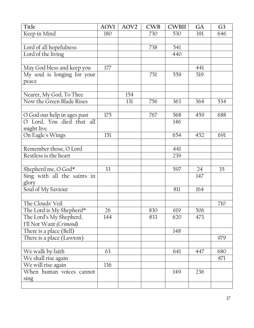| Title                                                           | <b>AOVI</b> | AOV <sub>2</sub> | <b>CWB</b> | <b>CWBII</b> | GA        | G <sub>3</sub> |
|-----------------------------------------------------------------|-------------|------------------|------------|--------------|-----------|----------------|
| Keep in Mind                                                    | 180         |                  | 730        | 530          | 391       | 646            |
|                                                                 |             |                  |            |              |           |                |
| Lord of all hopefulness                                         |             |                  | 738        | 541          |           |                |
| Lord of the living                                              |             |                  |            | 440          |           |                |
|                                                                 |             |                  |            |              |           |                |
| May God bless and keep you                                      | 177         |                  |            |              | 441       |                |
| My soul is longing for your                                     |             |                  | 751        | 559          | 519       |                |
| peace                                                           |             |                  |            |              |           |                |
|                                                                 |             |                  |            |              |           |                |
| Nearer, My God, To Thee                                         |             | 154              |            |              |           |                |
| Now the Green Blade Rises                                       |             | 131              | 756        | 363          | 364       | 534            |
|                                                                 |             |                  |            |              |           |                |
| O God our help in ages past                                     | 175         |                  | 767        | 568          | 459       | 688            |
| O Lord, You died that all                                       |             |                  |            | 146          |           |                |
| might live                                                      |             |                  |            |              |           |                |
| On Eagle's Wings                                                | 151         |                  |            | 654          | 452       | 691            |
|                                                                 |             |                  |            |              |           |                |
| Remember those, O Lord                                          |             |                  |            | 441          |           |                |
| Restless is the heart                                           |             |                  |            | 239          |           |                |
|                                                                 |             |                  |            |              |           | 35             |
| Shepherd me, O $\overline{God*}$<br>Sing with all the saints in | 33          |                  |            | 597          | 24<br>147 |                |
|                                                                 |             |                  |            |              |           |                |
| glory<br>Soul of My Saviour                                     |             |                  |            | 811          | 164       |                |
|                                                                 |             |                  |            |              |           |                |
| The Clouds' Veil                                                |             |                  |            |              |           | 710            |
| The Lord is My Shepherd*                                        | 26          |                  | 830        | 619          | 506       |                |
| The Lord's My Shepherd,                                         | 144         |                  | 833        | 620          | 473       |                |
| I'll Not Want (Crimond)                                         |             |                  |            |              |           |                |
| There is a place (Bell)                                         |             |                  |            | 148          |           |                |
| There is a place (Lawton)                                       |             |                  |            |              |           | 979            |
|                                                                 |             |                  |            |              |           |                |
| We walk by faith                                                | 63          |                  |            | 641          | 447       | 680            |
| We shall rise again                                             |             |                  |            |              |           | 871            |
| We will rise again                                              | 136         |                  |            |              |           |                |
| When human voices cannot                                        |             |                  |            | 149          | 236       |                |
| sing                                                            |             |                  |            |              |           |                |
|                                                                 |             |                  |            |              |           |                |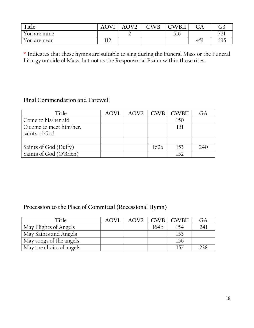| Title        | AOV <sup>-</sup> | $\Omega$ | CWB | CWBII | JА                                             | <b>∩า</b><br>J) |
|--------------|------------------|----------|-----|-------|------------------------------------------------|-----------------|
| You are mine |                  | ∽        |     | 516   |                                                | --<br>∠⊥        |
| You are near | 11 J<br>∸∸       |          |     |       | $\epsilon$ $\approx$ $\sim$<br>4D <sub>1</sub> | 695             |

\* Indicates that these hymns are suitable to sing during the Funeral Mass or the Funeral Liturgy outside of Mass, but not as the Responsorial Psalm within those rites.

#### **Final Commendation and Farewell**

| Title                   | <b>AOVI</b> |      | $AOV2$   $CWB$   $CWB$ | GA  |
|-------------------------|-------------|------|------------------------|-----|
| Come to his/her aid     |             |      | 150                    |     |
| O come to meet him/her, |             |      | 151                    |     |
| saints of God           |             |      |                        |     |
|                         |             |      |                        |     |
| Saints of God (Duffy)   |             | 162a | 153                    | 240 |
| Saints of God (O'Brien) |             |      | 152                    |     |

#### **Procession to the Place of Committal (Recessional Hymn)**

| Title                    | <b>AOVI</b> | AOV <sub>2</sub> |      | $CWB$ $CWH$ | GA  |
|--------------------------|-------------|------------------|------|-------------|-----|
| May Flights of Angels    |             |                  | 164b |             | 24  |
| May Saints and Angels    |             |                  |      | 155         |     |
| May songs of the angels  |             |                  |      | 156         |     |
| May the choirs of angels |             |                  |      |             | 238 |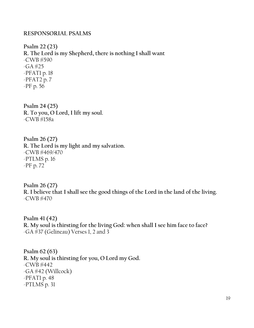#### **RESPONSORIAL PSALMS**

**Psalm 22 (23) R. The Lord is my Shepherd, there is nothing I shall want**  -CWB #590  $-GA$  #25 -PFAT1 p. 18 -PFAT2 p. 7 -PF p. 56

**Psalm 24 (25) R. To you, O Lord, I lift my soul.** -CWB #158a

**Psalm 26 (27) R. The Lord is my light and my salvation.** -CWB #469/470 -PTLMS p. 16 -PF p. 72

**Psalm 26 (27) R. I believe that I shall see the good things of the Lord in the land of the living.** -CWB #470

**Psalm 41 (42) R. My soul is thirsting for the living God: when shall I see him face to face?** -GA #37 (Gelineau) Verses 1, 2 and 3

**Psalm 62 (63) R. My soul is thirsting for you, O Lord my God.** -CWB #442 -GA #42 (Willcock) -PFAT1 p. 48 -PTLMS p. 31